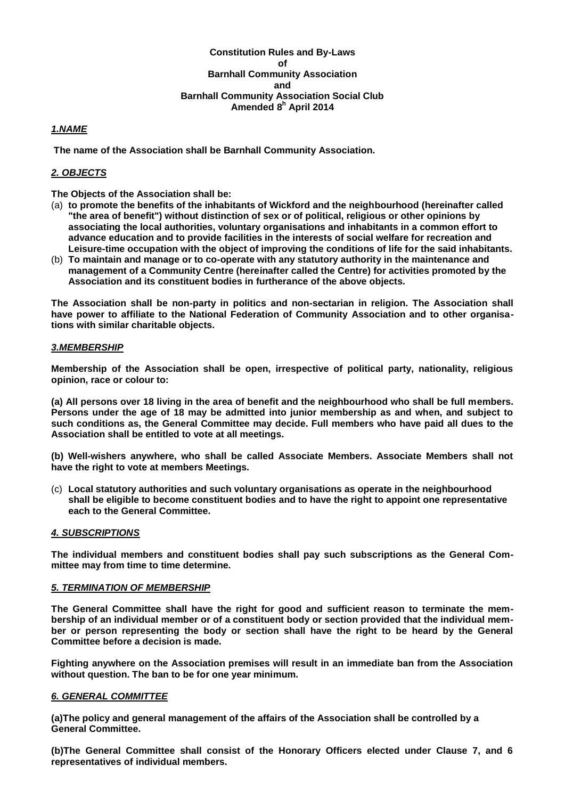## **Constitution Rules and By-Laws of Barnhall Community Association and Barnhall Community Association Social Club Amended 8 <sup>h</sup> April 2014**

## *1.NAME*

**The name of the Association shall be Barnhall Community Association.**

# *2. OBJECTS*

**The Objects of the Association shall be:** 

- (a) **to promote the benefits of the inhabitants of Wickford and the neighbourhood (hereinafter called "the area of benefit") without distinction of sex or of political, religious or other opinions by associating the local authorities, voluntary organisations and inhabitants in a common effort to advance education and to provide facilities in the interests of social welfare for recreation and Leisure-time occupation with the object of improving the conditions of life for the said inhabitants.**
- (b) **To maintain and manage or to co-operate with any statutory authority in the maintenance and management of a Community Centre (hereinafter called the Centre) for activities promoted by the Association and its constituent bodies in furtherance of the above objects.**

**The Association shall be non-party in politics and non-sectarian in religion. The Association shall have power to affiliate to the National Federation of Community Association and to other organisations with similar charitable objects.**

## *3.MEMBERSHIP*

**Membership of the Association shall be open, irrespective of political party, nationality, religious opinion, race or colour to:**

**(a) All persons over 18 living in the area of benefit and the neighbourhood who shall be full members. Persons under the age of 18 may be admitted into junior membership as and when, and subject to such conditions as, the General Committee may decide. Full members who have paid all dues to the Association shall be entitled to vote at all meetings.**

**(b) Well-wishers anywhere, who shall be called Associate Members. Associate Members shall not have the right to vote at members Meetings.**

(c) **Local statutory authorities and such voluntary organisations as operate in the neighbourhood shall be eligible to become constituent bodies and to have the right to appoint one representative each to the General Committee.**

#### *4. SUBSCRIPTIONS*

**The individual members and constituent bodies shall pay such subscriptions as the General Committee may from time to time determine.**

## *5. TERMINATION OF MEMBERSHIP*

**The General Committee shall have the right for good and sufficient reason to terminate the membership of an individual member or of a constituent body or section provided that the individual member or person representing the body or section shall have the right to be heard by the General Committee before a decision is made.**

**Fighting anywhere on the Association premises will result in an immediate ban from the Association without question. The ban to be for one year minimum.**

#### *6. GENERAL COMMITTEE*

**(a)The policy and general management of the affairs of the Association shall be controlled by a General Committee.**

**(b)The General Committee shall consist of the Honorary Officers elected under Clause 7, and 6 representatives of individual members.**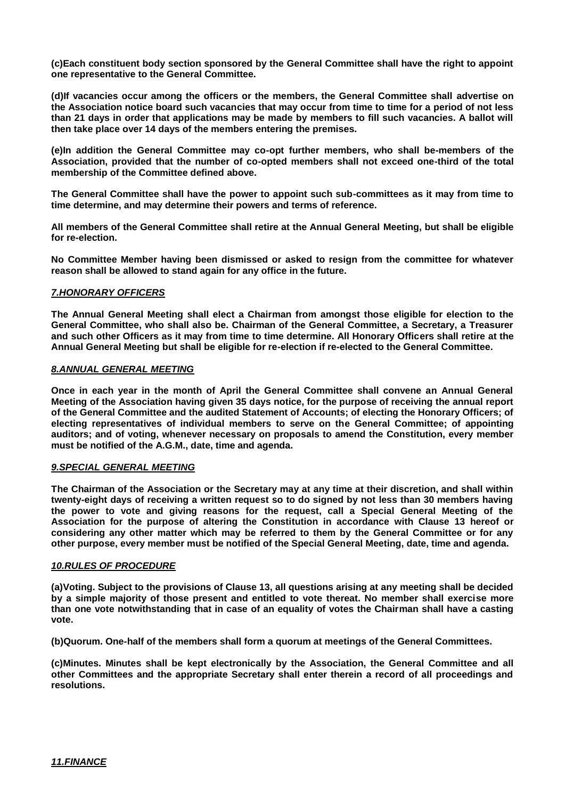**(c)Each constituent body section sponsored by the General Committee shall have the right to appoint one representative to the General Committee.**

**(d)If vacancies occur among the officers or the members, the General Committee shall advertise on the Association notice board such vacancies that may occur from time to time for a period of not less than 21 days in order that applications may be made by members to fill such vacancies. A ballot will then take place over 14 days of the members entering the premises.**

**(e)In addition the General Committee may co-opt further members, who shall be-members of the Association, provided that the number of co-opted members shall not exceed one-third of the total membership of the Committee defined above.**

**The General Committee shall have the power to appoint such sub-committees as it may from time to time determine, and may determine their powers and terms of reference.**

**All members of the General Committee shall retire at the Annual General Meeting, but shall be eligible for re-election.**

**No Committee Member having been dismissed or asked to resign from the committee for whatever reason shall be allowed to stand again for any office in the future.**

## *7.HONORARY OFFICERS*

**The Annual General Meeting shall elect a Chairman from amongst those eligible for election to the General Committee, who shall also be. Chairman of the General Committee, a Secretary, a Treasurer and such other Officers as it may from time to time determine. All Honorary Officers shall retire at the Annual General Meeting but shall be eligible for re-election if re-elected to the General Committee.**

## *8.ANNUAL GENERAL MEETING*

**Once in each year in the month of April the General Committee shall convene an Annual General Meeting of the Association having given 35 days notice, for the purpose of receiving the annual report of the General Committee and the audited Statement of Accounts; of electing the Honorary Officers; of electing representatives of individual members to serve on the General Committee; of appointing auditors; and of voting, whenever necessary on proposals to amend the Constitution, every member must be notified of the A.G.M., date, time and agenda.**

#### *9.SPECIAL GENERAL MEETING*

**The Chairman of the Association or the Secretary may at any time at their discretion, and shall within twenty-eight days of receiving a written request so to do signed by not less than 30 members having the power to vote and giving reasons for the request, call a Special General Meeting of the Association for the purpose of altering the Constitution in accordance with Clause 13 hereof or considering any other matter which may be referred to them by the General Committee or for any other purpose, every member must be notified of the Special General Meeting, date, time and agenda.**

#### *10.RULES OF PROCEDURE*

**(a)Voting. Subject to the provisions of Clause 13, all questions arising at any meeting shall be decided by a simple majority of those present and entitled to vote thereat. No member shall exercise more than one vote notwithstanding that in case of an equality of votes the Chairman shall have a casting vote.**

**(b)Quorum. One-half of the members shall form a quorum at meetings of the General Committees.**

**(c)Minutes. Minutes shall be kept electronically by the Association, the General Committee and all other Committees and the appropriate Secretary shall enter therein a record of all proceedings and resolutions.**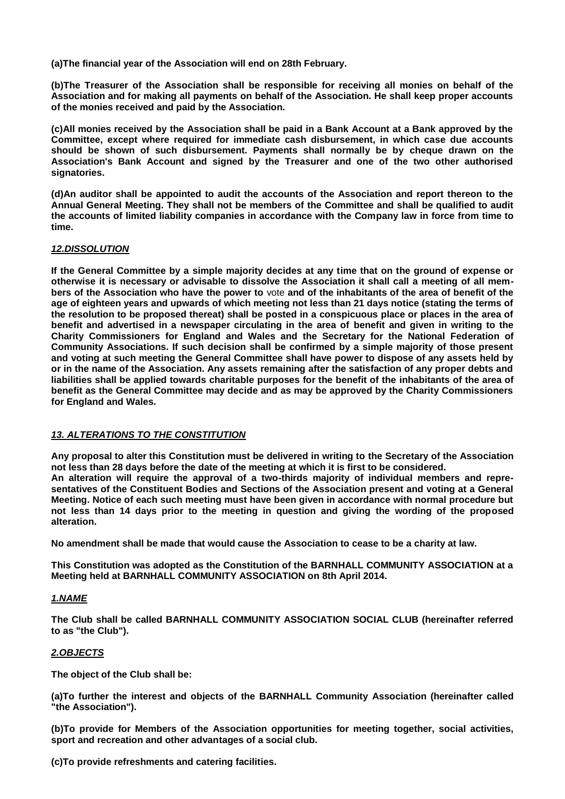**(a)The financial year of the Association will end on 28th February.**

**(b)The Treasurer of the Association shall be responsible for receiving all monies on behalf of the Association and for making all payments on behalf of the Association. He shall keep proper accounts of the monies received and paid by the Association.**

**(c)All monies received by the Association shall be paid in a Bank Account at a Bank approved by the Committee, except where required for immediate cash disbursement, in which case due accounts should be shown of such disbursement. Payments shall normally be by cheque drawn on the Association's Bank Account and signed by the Treasurer and one of the two other authorised signatories.**

**(d)An auditor shall be appointed to audit the accounts of the Association and report thereon to the Annual General Meeting. They shall not be members of the Committee and shall be qualified to audit the accounts of limited liability companies in accordance with the Company law in force from time to time.**

## *12.DISSOLUTION*

**If the General Committee by a simple majority decides at any time that on the ground of expense or otherwise it is necessary or advisable to dissolve the Association it shall call a meeting of all members of the Association who have the power to** vote **and of the inhabitants of the area of benefit of the age of eighteen years and upwards of which meeting not less than 21 days notice (stating the terms of the resolution to be proposed thereat) shall be posted in a conspicuous place or places in the area of benefit and advertised in a newspaper circulating in the area of benefit and given in writing to the Charity Commissioners for England and Wales and the Secretary for the National Federation of Community Associations. If such decision shall be confirmed by a simple majority of those present and voting at such meeting the General Committee shall have power to dispose of any assets held by or in the name of the Association. Any assets remaining after the satisfaction of any proper debts and liabilities shall be applied towards charitable purposes for the benefit of the inhabitants of the area of benefit as the General Committee may decide and as may be approved by the Charity Commissioners for England and Wales.**

#### *13. ALTERATIONS TO THE CONSTITUTION*

**Any proposal to alter this Constitution must be delivered in writing to the Secretary of the Association not less than 28 days before the date of the meeting at which it is first to be considered. An alteration will require the approval of a two-thirds majority of individual members and representatives of the Constituent Bodies and Sections of the Association present and voting at a General Meeting. Notice of each such meeting must have been given in accordance with normal procedure but not less than 14 days prior to the meeting in question and giving the wording of the proposed alteration.**

**No amendment shall be made that would cause the Association to cease to be a charity at law.**

**This Constitution was adopted as the Constitution of the BARNHALL COMMUNITY ASSOCIATION at a Meeting held at BARNHALL COMMUNITY ASSOCIATION on 8th April 2014.**

## *1.NAME*

**The Club shall be called BARNHALL COMMUNITY ASSOCIATION SOCIAL CLUB (hereinafter referred to as "the Club").**

## *2.OBJECTS*

**The object of the Club shall be:**

**(a)To further the interest and objects of the BARNHALL Community Association (hereinafter called "the Association").**

**(b)To provide for Members of the Association opportunities for meeting together, social activities, sport and recreation and other advantages of a social club.**

**(c)To provide refreshments and catering facilities.**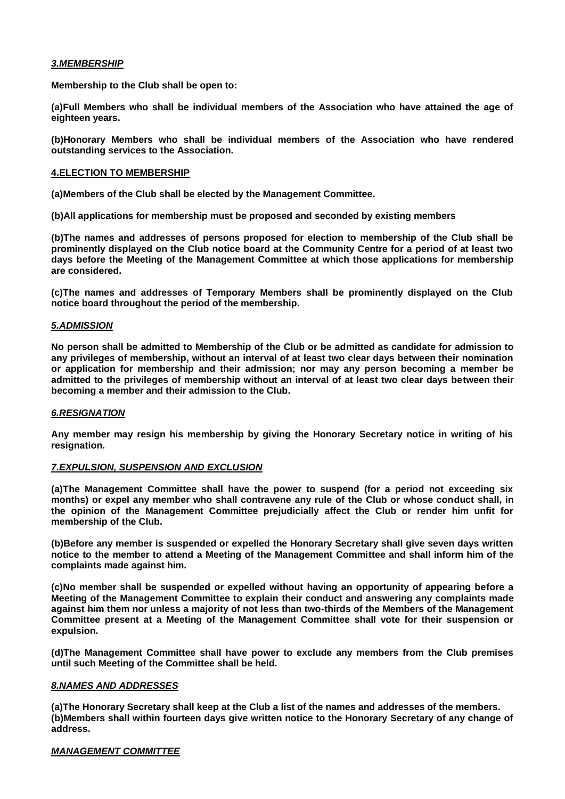## *3.MEMBERSHIP*

**Membership to the Club shall be open to:**

**(a)Full Members who shall be individual members of the Association who have attained the age of eighteen years.**

**(b)Honorary Members who shall be individual members of the Association who have rendered outstanding services to the Association.**

### **4.ELECTION TO MEMBERSHIP**

**(a)Members of the Club shall be elected by the Management Committee.** 

**(b)All applications for membership must be proposed and seconded by existing members**

**(b)The names and addresses of persons proposed for election to membership of the Club shall be prominently displayed on the Club notice board at the Community Centre for a period of at least two days before the Meeting of the Management Committee at which those applications for membership are considered.**

**(c)The names and addresses of Temporary Members shall be prominently displayed on the Club notice board throughout the period of the membership.**

## *5.ADMISSION*

**No person shall be admitted to Membership of the Club or be admitted as candidate for admission to any privileges of membership, without an interval of at least two clear days between their nomination or application for membership and their admission; nor may any person becoming a member be admitted to the privileges of membership without an interval of at least two clear days between their becoming a member and their admission to the Club.**

#### *6.RESIGNATION*

**Any member may resign his membership by giving the Honorary Secretary notice in writing of his resignation.**

#### *7.EXPULSION, SUSPENSION AND EXCLUSION*

**(a)The Management Committee shall have the power to suspend (for a period not exceeding six months) or expel any member who shall contravene any rule of the Club or whose conduct shall, in the opinion of the Management Committee prejudicially affect the Club or render him unfit for membership of the Club.**

**(b)Before any member is suspended or expelled the Honorary Secretary shall give seven days written notice to the member to attend a Meeting of the Management Committee and shall inform him of the complaints made against him.**

**(c)No member shall be suspended or expelled without having an opportunity of appearing before a Meeting of the Management Committee to explain their conduct and answering any complaints made against him them nor unless a majority of not less than two-thirds of the Members of the Management Committee present at a Meeting of the Management Committee shall vote for their suspension or expulsion.**

**(d)The Management Committee shall have power to exclude any members from the Club premises until such Meeting of the Committee shall be held.**

#### *8.NAMES AND ADDRESSES*

**(a)The Honorary Secretary shall keep at the Club a list of the names and addresses of the members. (b)Members shall within fourteen days give written notice to the Honorary Secretary of any change of address.**

#### *MANAGEMENT COMMITTEE*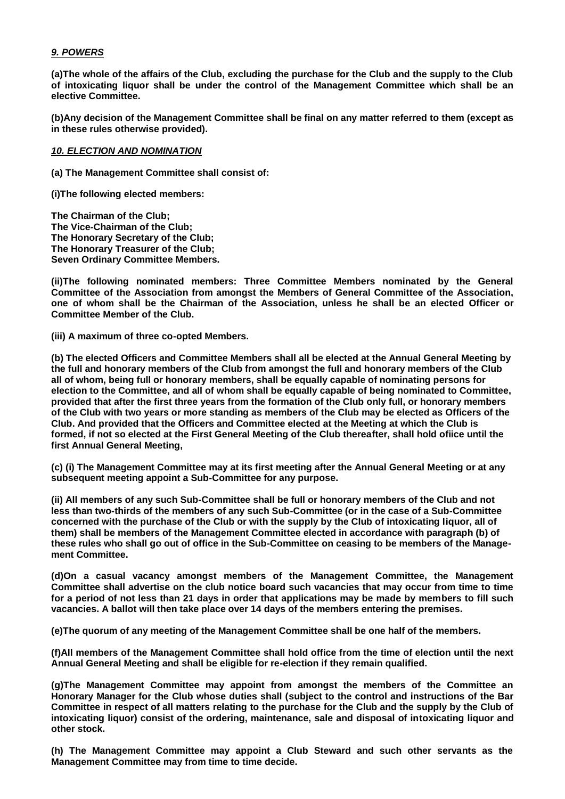## *9. POWERS*

**(a)The whole of the affairs of the Club, excluding the purchase for the Club and the supply to the Club of intoxicating liquor shall be under the control of the Management Committee which shall be an elective Committee.**

**(b)Any decision of the Management Committee shall be final on any matter referred to them (except as in these rules otherwise provided).**

#### *10. ELECTION AND NOMINATION*

**(a) The Management Committee shall consist of:**

**(i)The following elected members:** 

**The Chairman of the Club; The Vice-Chairman of the Club; The Honorary Secretary of the Club; The Honorary Treasurer of the Club; Seven Ordinary Committee Members.**

**(ii)The following nominated members: Three Committee Members nominated by the General Committee of the Association from amongst the Members of General Committee of the Association, one of whom shall be the Chairman of the Association, unless he shall be an elected Officer or Committee Member of the Club.**

**(iii) A maximum of three co-opted Members.**

**(b) The elected Officers and Committee Members shall all be elected at the Annual General Meeting by the full and honorary members of the Club from amongst the full and honorary members of the Club all of whom, being full or honorary members, shall be equally capable of nominating persons for election to the Committee, and all of whom shall be equally capable of being nominated to Committee, provided that after the first three years from the formation of the Club only full, or honorary members of the Club with two years or more standing as members of the Club may be elected as Officers of the Club. And provided that the Officers and Committee elected at the Meeting at which the Club is formed, if not so elected at the First General Meeting of the Club thereafter, shall hold ofiice until the first Annual General Meeting,** 

**(c) (i) The Management Committee may at its first meeting after the Annual General Meeting or at any subsequent meeting appoint a Sub-Committee for any purpose.**

**(ii) All members of any such Sub-Committee shall be full or honorary members of the Club and not less than two-thirds of the members of any such Sub-Committee (or in the case of a Sub-Committee concerned with the purchase of the Club or with the supply by the Club of intoxicating liquor, all of them) shall be members of the Management Committee elected in accordance with paragraph (b) of these rules who shall go out of office in the Sub-Committee on ceasing to be members of the Management Committee.**

**(d)On a casual vacancy amongst members of the Management Committee, the Management Committee shall advertise on the club notice board such vacancies that may occur from time to time for a period of not less than 21 days in order that applications may be made by members to fill such vacancies. A ballot will then take place over 14 days of the members entering the premises.**

**(e)The quorum of any meeting of the Management Committee shall be one half of the members.**

**(f)All members of the Management Committee shall hold office from the time of election until the next Annual General Meeting and shall be eligible for re-election if they remain qualified.**

**(g)The Management Committee may appoint from amongst the members of the Committee an Honorary Manager for the Club whose duties shall (subject to the control and instructions of the Bar Committee in respect of all matters relating to the purchase for the Club and the supply by the Club of intoxicating liquor) consist of the ordering, maintenance, sale and disposal of intoxicating liquor and other stock.**

**(h) The Management Committee may appoint a Club Steward and such other servants as the Management Committee may from time to time decide.**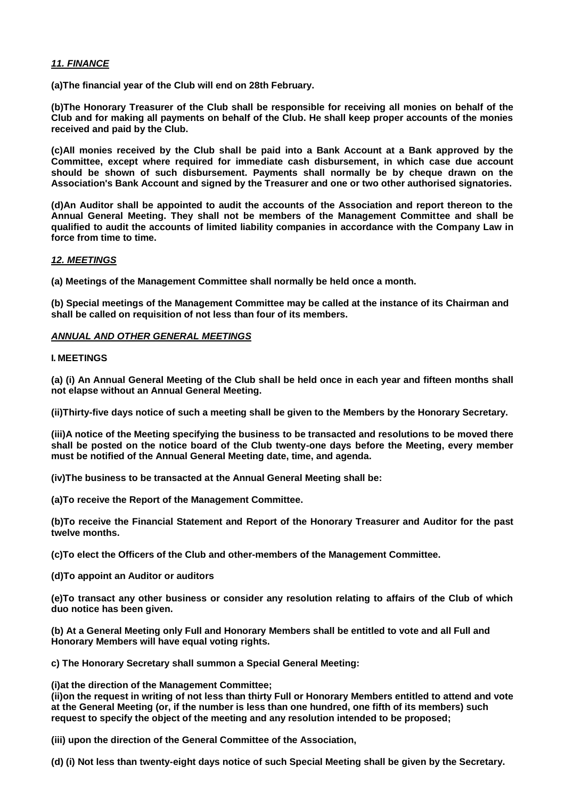## *11. FINANCE*

**(a)The financial year of the Club will end on 28th February.**

**(b)The Honorary Treasurer of the Club shall be responsible for receiving all monies on behalf of the Club and for making all payments on behalf of the Club. He shall keep proper accounts of the monies received and paid by the Club.**

**(c)All monies received by the Club shall be paid into a Bank Account at a Bank approved by the Committee, except where required for immediate cash disbursement, in which case due account should be shown of such disbursement. Payments shall normally be by cheque drawn on the Association's Bank Account and signed by the Treasurer and one or two other authorised signatories.**

**(d)An Auditor shall be appointed to audit the accounts of the Association and report thereon to the Annual General Meeting. They shall not be members of the Management Committee and shall be qualified to audit the accounts of limited liability companies in accordance with the Company Law in force from time to time.**

## *12. MEETINGS*

**(a) Meetings of the Management Committee shall normally be held once a month.**

**(b) Special meetings of the Management Committee may be called at the instance of its Chairman and shall be called on requisition of not less than four of its members.**

## *ANNUAL AND OTHER GENERAL MEETINGS*

#### **I. MEETINGS**

**(a) (i) An Annual General Meeting of the Club shall be held once in each year and fifteen months shall not elapse without an Annual General Meeting.**

**(ii)Thirty-five days notice of such a meeting shall be given to the Members by the Honorary Secretary.**

**(iii)A notice of the Meeting specifying the business to be transacted and resolutions to be moved there shall be posted on the notice board of the Club twenty-one days before the Meeting, every member must be notified of the Annual General Meeting date, time, and agenda.**

**(iv)The business to be transacted at the Annual General Meeting shall be:**

**(a)To receive the Report of the Management Committee.**

**(b)To receive the Financial Statement and Report of the Honorary Treasurer and Auditor for the past twelve months.**

**(c)To elect the Officers of the Club and other-members of the Management Committee.**

**(d)To appoint an Auditor or auditors**

**(e)To transact any other business or consider any resolution relating to affairs of the Club of which duo notice has been given.**

**(b) At a General Meeting only Full and Honorary Members shall be entitled to vote and all Full and Honorary Members will have equal voting rights.**

**c) The Honorary Secretary shall summon a Special General Meeting:**

**(i)at the direction of the Management Committee;**

**(ii)on the request in writing of not less than thirty Full or Honorary Members entitled to attend and vote at the General Meeting (or, if the number is less than one hundred, one fifth of its members) such request to specify the object of the meeting and any resolution intended to be proposed;**

**(iii) upon the direction of the General Committee of the Association,** 

**(d) (i) Not less than twenty-eight days notice of such Special Meeting shall be given by the Secretary.**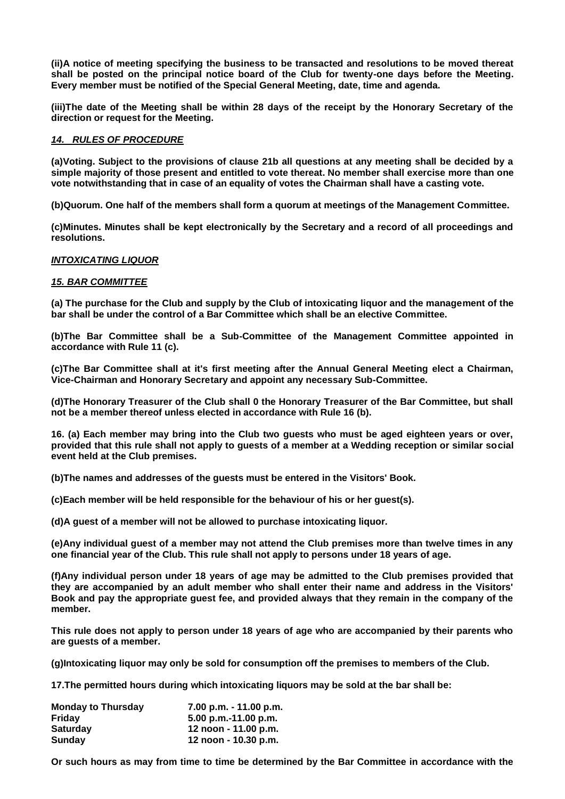**(ii)A notice of meeting specifying the business to be transacted and resolutions to be moved thereat shall be posted on the principal notice board of the Club for twenty-one days before the Meeting. Every member must be notified of the Special General Meeting, date, time and agenda.**

**(iii)The date of the Meeting shall be within 28 days of the receipt by the Honorary Secretary of the direction or request for the Meeting.**

#### *14. RULES OF PROCEDURE*

**(a)Voting. Subject to the provisions of clause 21b all questions at any meeting shall be decided by a simple majority of those present and entitled to vote thereat. No member shall exercise more than one vote notwithstanding that in case of an equality of votes the Chairman shall have a casting vote.**

**(b)Quorum. One half of the members shall form a quorum at meetings of the Management Committee.**

**(c)Minutes. Minutes shall be kept electronically by the Secretary and a record of all proceedings and resolutions.**

## *INTOXICATING LIQUOR*

#### *15. BAR COMMITTEE*

**(a) The purchase for the Club and supply by the Club of intoxicating liquor and the management of the bar shall be under the control of a Bar Committee which shall be an elective Committee.**

**(b)The Bar Committee shall be a Sub-Committee of the Management Committee appointed in accordance with Rule 11 (c).**

**(c)The Bar Committee shall at it's first meeting after the Annual General Meeting elect a Chairman, Vice-Chairman and Honorary Secretary and appoint any necessary Sub-Committee.**

**(d)The Honorary Treasurer of the Club shall 0 the Honorary Treasurer of the Bar Committee, but shall not be a member thereof unless elected in accordance with Rule 16 (b).**

**16. (a) Each member may bring into the Club two guests who must be aged eighteen years or over, provided that this rule shall not apply to guests of a member at a Wedding reception or similar social event held at the Club premises.**

**(b)The names and addresses of the guests must be entered in the Visitors' Book.**

**(c)Each member will be held responsible for the behaviour of his or her guest(s).**

**(d)A guest of a member will not be allowed to purchase intoxicating liquor.**

**(e)Any individual guest of a member may not attend the Club premises more than twelve times in any one financial year of the Club. This rule shall not apply to persons under 18 years of age.**

**(f)Any individual person under 18 years of age may be admitted to the Club premises provided that they are accompanied by an adult member who shall enter their name and address in the Visitors' Book and pay the appropriate guest fee, and provided always that they remain in the company of the member.**

**This rule does not apply to person under 18 years of age who are accompanied by their parents who are guests of a member.**

**(g)Intoxicating liquor may only be sold for consumption off the premises to members of the Club.**

**17.The permitted hours during which intoxicating liquors may be sold at the bar shall be:**

| <b>Monday to Thursday</b> | 7.00 p.m. - 11.00 p.m. |
|---------------------------|------------------------|
| Fridav                    | $5.00$ p.m.-11.00 p.m. |
| <b>Saturday</b>           | 12 noon - 11.00 p.m.   |
| Sunday                    | 12 noon - 10.30 p.m.   |

**Or such hours as may from time to time be determined by the Bar Committee in accordance with the**